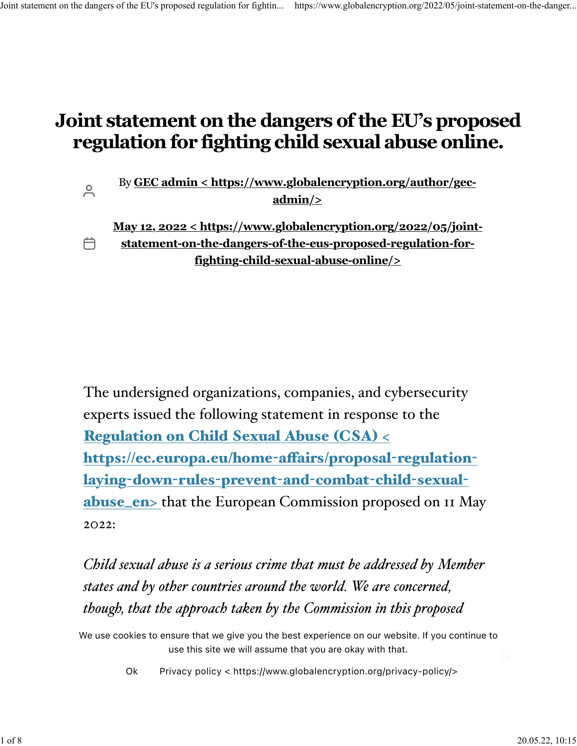$\overline{C}$ 

户

# **Joint statement on the dangers of the EU's proposed regulation for fighting child sexual abuse online.**

By **[GEC admin < https://www.globalencryption.org/author/gec](https://www.globalencryption.org/author/gec-admin/)[admin/>](https://www.globalencryption.org/author/gec-admin/)**

**[May 12, 2022 < https://www.globalencryption.org/2022/05/joint](https://www.globalencryption.org/2022/05/joint-statement-on-the-dangers-of-the-eus-proposed-regulation-for-fighting-child-sexual-abuse-online/)[statement-on-the-dangers-of-the-eus-proposed-regulation-for](https://www.globalencryption.org/2022/05/joint-statement-on-the-dangers-of-the-eus-proposed-regulation-for-fighting-child-sexual-abuse-online/)[fighting-child-sexual-abuse-online/>](https://www.globalencryption.org/2022/05/joint-statement-on-the-dangers-of-the-eus-proposed-regulation-for-fighting-child-sexual-abuse-online/)**

The undersigned organizations, companies, and cybersecurity experts issued the following statement in response to the [Regulation](https://ec.europa.eu/home-affairs/proposal-regulation-laying-down-rules-prevent-and-combat-child-sexual-abuse_en) on Child Sexual Abuse (CSA) [<](https://ec.europa.eu/home-affairs/proposal-regulation-laying-down-rules-prevent-and-combat-child-sexual-abuse_en) [https://ec.europa.eu/home](https://ec.europa.eu/home-affairs/proposal-regulation-laying-down-rules-prevent-and-combat-child-sexual-abuse_en)-afairs/proposal-regulationlaying-down-rules-[prevent](https://ec.europa.eu/home-affairs/proposal-regulation-laying-down-rules-prevent-and-combat-child-sexual-abuse_en)-and-combat-child-sexual[abuse\\_en>](https://ec.europa.eu/home-affairs/proposal-regulation-laying-down-rules-prevent-and-combat-child-sexual-abuse_en) that the European Commission proposed on 11 May 2022:

*Child sexual abuse is a serious crime that must be addressed by Member states and by other countries around the world. We are concerned, though, that the approach taken by the Commission in this proposed*

*Regulation would have devastating impacts on the security of* We use cookies to ensure that we give you the best experience on our website. If you continue to *communications and on user privacy.* use this site we will assume that you are okay with that.

[Ok](https://www.globalencryption.org/2022/05/joint-statement-on-the-dangers-of-the-eus-proposed-regulation-for-fighting-child-sexual-abuse-online/#) [Privacy policy < https://www.globalencryption.org/privacy-policy/>](https://www.globalencryption.org/privacy-policy/)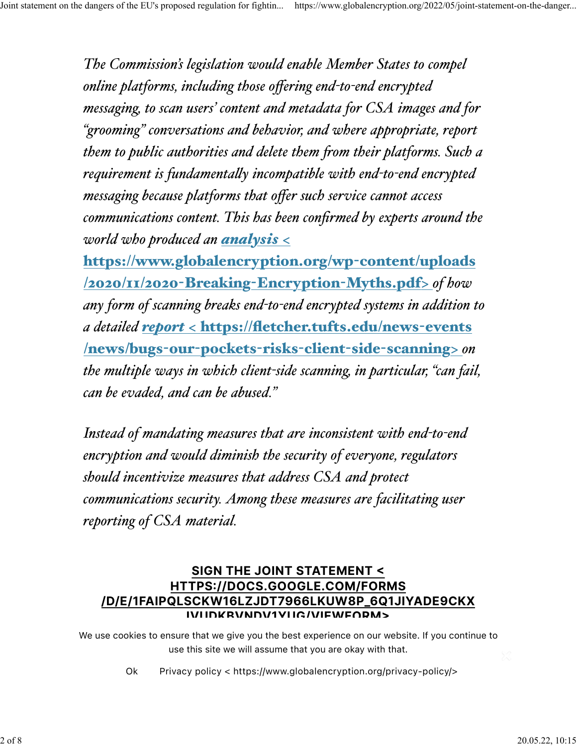*The Commission's legislation would enable Member States to compel online platforms, including those offering end-to-end encrypted messaging, to scan users' content and metadata for CSA images and for "grooming" conversations and behavior, and where appropriate, report them to public authorities and delete them fom their platforms. Such a requirement is fundamentaly incompatible with end-to-end encrypted messaging because platforms that offer such service cannot access communications content. This has been confirmed by experts around the world who produced an [analysis](https://www.globalencryption.org/wp-content/uploads/2020/11/2020-Breaking-Encryption-Myths.pdf)* [<](https://www.globalencryption.org/wp-content/uploads/2020/11/2020-Breaking-Encryption-Myths.pdf)

[https://www.globalencryption.org/wp](https://www.globalencryption.org/wp-content/uploads/2020/11/2020-Breaking-Encryption-Myths.pdf)-content/uploads [/2020/11/2020](https://www.globalencryption.org/wp-content/uploads/2020/11/2020-Breaking-Encryption-Myths.pdf)-Breaking-Encryption-Myths.pdf[>](https://www.globalencryption.org/wp-content/uploads/2020/11/2020-Breaking-Encryption-Myths.pdf) *of how any form of scanning breaks end-to-end encrypted systems in addition to a detailed [report](https://fletcher.tufts.edu/news-events/news/bugs-our-pockets-risks-client-side-scanning)* [<](https://fletcher.tufts.edu/news-events/news/bugs-our-pockets-risks-client-side-scanning) [https://fletcher.tufts.edu/news](https://fletcher.tufts.edu/news-events/news/bugs-our-pockets-risks-client-side-scanning)-events [/news/bugs](https://fletcher.tufts.edu/news-events/news/bugs-our-pockets-risks-client-side-scanning)-our-pockets-risks-client-side-scannin[g>](https://fletcher.tufts.edu/news-events/news/bugs-our-pockets-risks-client-side-scanning) *on the multiple ways in which client-side scanning, in particular, "can fail, can be evaded, and can be abused."*

*Instead of mandating measures that are inconsistent with end-to-end encryption and would diminish the security of everyone, regulators should incentivize measures that address CSA and protect communications security. Among these measures are facilitating user reporting of CSA material.*

## **[SIGN THE JOINT STATEMENT](https://docs.google.com/forms/d/e/1FAIpQLSckW16lzjdT7966lkuW8P_6Q1jIyAdE9CKXiVudkBvNDv1yUg/viewform)  [HTTPS//DOCS.GOOGLE.COM/FORMS](https://docs.google.com/forms/d/e/1FAIpQLSckW16lzjdT7966lkuW8P_6Q1jIyAdE9CKXiVudkBvNDv1yUg/viewform) [/D/E/1FAIPQLSCKW16LZJDT7966LKUW8P\\_6Q1JIYADE9CKX](https://docs.google.com/forms/d/e/1FAIpQLSckW16lzjdT7966lkuW8P_6Q1jIyAdE9CKXiVudkBvNDv1yUg/viewform) [IVUDKBVNDV1YUG/VIEWFORM](https://docs.google.com/forms/d/e/1FAIpQLSckW16lzjdT7966lkuW8P_6Q1jIyAdE9CKXiVudkBvNDv1yUg/viewform)**

We use cookies to ensure that we give you the best experience on our website. If you continue to use this site we will assume that you are okay with that.

Ok Pri Ok [Privacy policy < https://www.globalencryption.org/privacy-policy/>](https://www.globalencryption.org/privacy-policy/)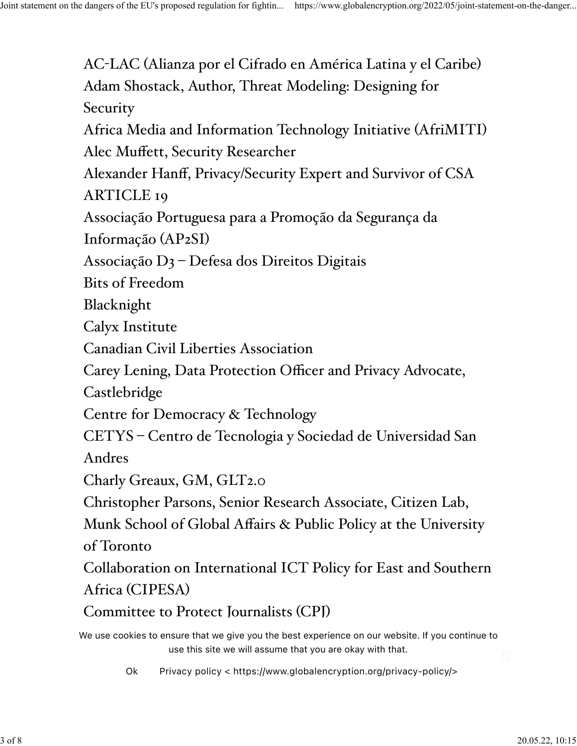AC-LAC (Alianza por el Cifrado en América Latina y el Caribe) Adam Shostack, Author, Threat Modeling: Designing for **Security** Africa Media and Information Technology Initiative (AfriMITI) Alec Muffett, Security Researcher Alexander Hanff, Privacy/Security Expert and Survivor of CSA ARTICLE 19 Associação Portuguesa para a Promoção da Segurança da Informação (AP2SI) Associação D3 – Defesa dos Direitos Digitais Bits of Freedom Blacknight Calyx Institute Canadian Civil Liberties Association Carey Lening, Data Protection Officer and Privacy Advocate, Castlebridge Centre for Democracy & Technology CETYS – Centro de Tecnologia y Sociedad de Universidad San Andres Charly Greaux, GM, GLT2.0 Christopher Parsons, Senior Research Associate, Citizen Lab, Munk School of Global Affairs & Public Policy at the University of Toronto Collaboration on International ICT Policy for East and Southern Africa (CIPESA) Committee to Protect Journalists (CPJ) We use cookies to ensure that we give you the best experience on our website. If you continue to use this site we will assume that you are okay with that.

CR<sub>y</sub> [Ok](https://www.globalencryption.org/2022/05/joint-statement-on-the-dangers-of-the-eus-proposed-regulation-for-fighting-child-sexual-abuse-online/#) [Privacy policy < https://www.globalencryption.org/privacy-policy/>](https://www.globalencryption.org/privacy-policy/)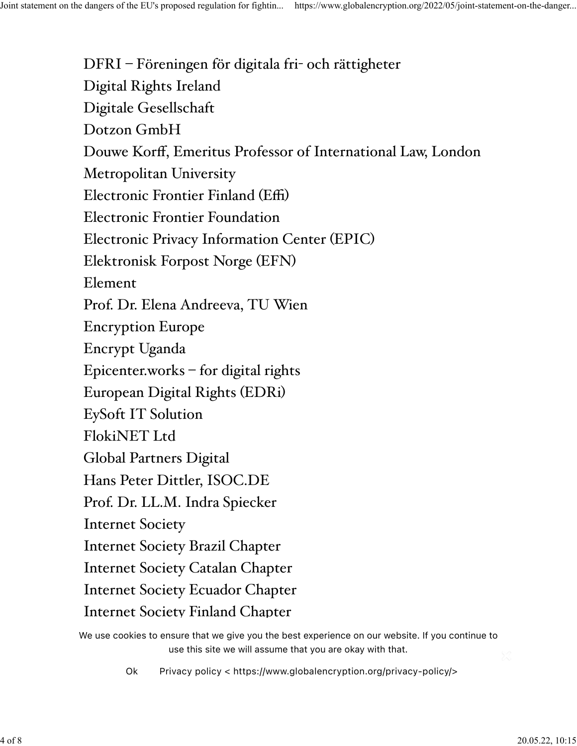DFRI – Föreningen för digitala fri- och rättigheter Digital Rights Ireland Digitale Gesellschaft Dotzon GmbH Douwe Korff, Emeritus Professor of International Law, London Metropolitan University Electronic Frontier Finland (Effi) Electronic Frontier Foundation Electronic Privacy Information Center (EPIC) Elektronisk Forpost Norge (EFN) Element Prof. Dr. Elena Andreeva, TU Wien Encryption Europe Encrypt Uganda Epicenter.works – for digital rights European Digital Rights (EDRi) EySoft IT Solution FlokiNET Ltd Global Partners Digital Hans Peter Dittler, ISOC.DE Prof. Dr. LL.M. Indra Spiecker Internet Society Internet Society Brazil Chapter Internet Society Catalan Chapter Internet Society Ecuador Chapter Internet Society Finland Chapter

We use cookies to ensure that we give you the best experience on our website. If you continue to use this site we will assume that you are okay with that.

[Ok](https://www.globalencryption.org/2022/05/joint-statement-on-the-dangers-of-the-eus-proposed-regulation-for-fighting-child-sexual-abuse-online/#) Privacy policy < https://www.globalencryption.org/privacy-policy/>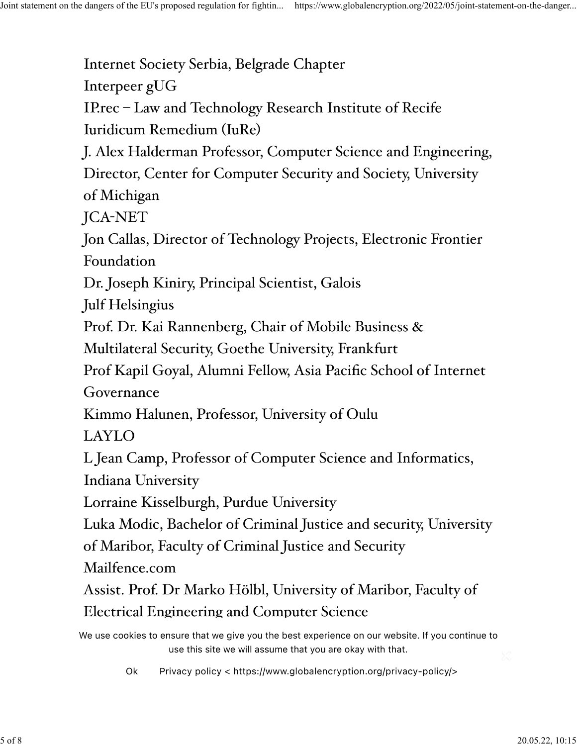Internet Society Serbia, Belgrade Chapter Interpeer gUG IP.rec – Law and Technology Research Institute of Recife Iuridicum Remedium (IuRe) J. Alex Halderman Professor, Computer Science and Engineering, Director, Center for Computer Security and Society, University of Michigan JCA-NET Jon Callas, Director of Technology Projects, Electronic Frontier Foundation Dr. Joseph Kiniry, Principal Scientist, Galois Julf Helsingius Prof. Dr. Kai Rannenberg, Chair of Mobile Business & Multilateral Security, Goethe University, Frankfurt Prof Kapil Goyal, Alumni Fellow, Asia Pacific School of Internet Governance Kimmo Halunen, Professor, University of Oulu LAYLO L Jean Camp, Professor of Computer Science and Informatics, Indiana University Lorraine Kisselburgh, Purdue University Luka Modic, Bachelor of Criminal Justice and security, University of Maribor, Faculty of Criminal Justice and Security Mailfence.com Assist. Prof. Dr Marko Hölbl, University of Maribor, Faculty of Electrical Engineering and Computer Science We use cookies to ensure that we give you the best experience on our website. If you continue to use this site we will assume that you are okay with that.

[Ok](https://www.globalencryption.org/2022/05/joint-statement-on-the-dangers-of-the-eus-proposed-regulation-for-fighting-child-sexual-abuse-online/#) Privacy policy < https://www.globalencryption.org/privacy-policy/>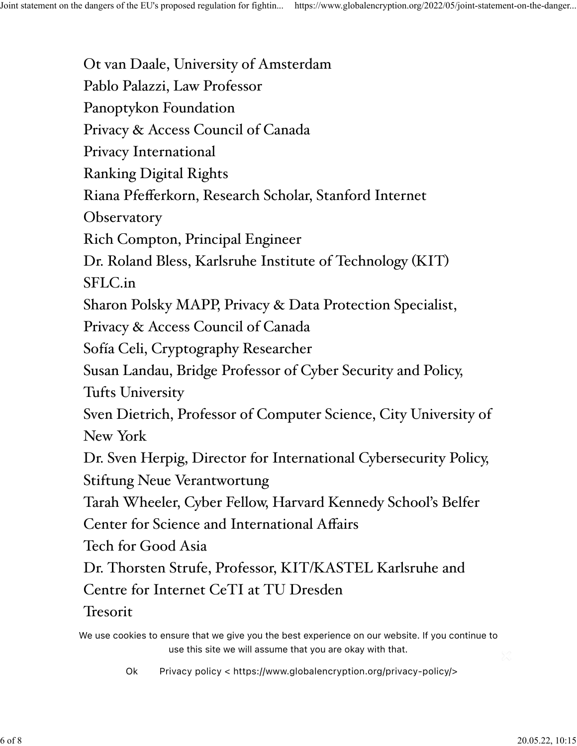Ot van Daale, University of Amsterdam Pablo Palazzi, Law Professor Panoptykon Foundation Privacy & Access Council of Canada Privacy International Ranking Digital Rights Riana Pfefferkorn, Research Scholar, Stanford Internet **Observatory** Rich Compton, Principal Engineer Dr. Roland Bless, Karlsruhe Institute of Technology (KIT) SFLC.in Sharon Polsky MAPP, Privacy & Data Protection Specialist, Privacy & Access Council of Canada Sofía Celi, Cryptography Researcher Susan Landau, Bridge Professor of Cyber Security and Policy, Tufts University Sven Dietrich, Professor of Computer Science, City University of New York Dr. Sven Herpig, Director for International Cybersecurity Policy, Stiftung Neue Verantwortung Tarah Wheeler, Cyber Fellow, Harvard Kennedy School's Belfer Center for Science and International Affairs Tech for Good Asia Dr. Thorsten Strufe, Professor, KIT/KASTEL Karlsruhe and Centre for Internet CeTI at TU Dresden Tresorit We use cookies to ensure that we give you the best experience on our website. If you continue to

use this site we will assume that you are okay with that.

[Ok](https://www.globalencryption.org/2022/05/joint-statement-on-the-dangers-of-the-eus-proposed-regulation-for-fighting-child-sexual-abuse-online/#) Privacy policy < https://www.globalencryption.org/privacy-policy/>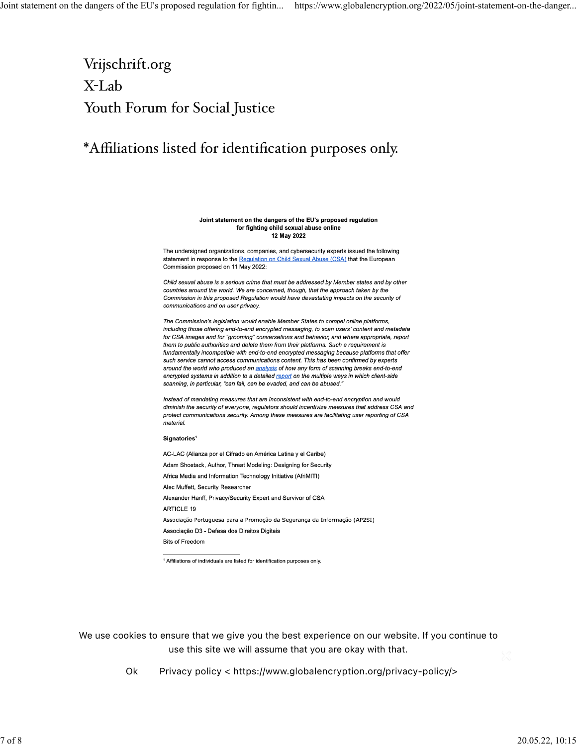# Vrijschrift.org X-Lab Youth Forum for Social Justice

## \*Affiliations listed for identification purposes only.

#### Joint statement on the dangers of the EU's proposed regulation for fighting child sexual abuse online 12 May 2022

The undersigned organizations, companies, and cybersecurity experts issued the following statement in response to the Regulation on Child Sexual Abuse (CSA) that the European Commission proposed on 11 May 2022:

Child sexual abuse is a serious crime that must be addressed by Member states and by other countries around the world. We are concerned, though, that the approach taken by the Commission in this proposed Regulation would have devastating impacts on the security of communications and on user privacy.

The Commission's legislation would enable Member States to compel online platforms, including those offering end-to-end encrypted messaging, to scan users' content and metadata for CSA images and for "grooming" conversations and behavior, and where appropriate, report them to public authorities and delete them from their platforms. Such a requirement is fundamentally incompatible with end-to-end encrypted messaging because platforms that offer such service cannot access communications content. This has been confirmed by experts around the world who produced an analysis of how any form of scanning breaks end-to-end encrypted systems in addition to a detailed report on the multiple ways in which client-side scanning, in particular, "can fail, can be evaded, and can be abused."

Instead of mandating measures that are inconsistent with end-to-end encryption and would diminish the security of everyone, regulators should incentivize measures that address CSA and protect communications security. Among these measures are facilitating user reporting of CSA *material* 

### Signatories<sup>1</sup>

AC-LAC (Alianza por el Cifrado en América Latina y el Caribe) Adam Shostack, Author, Threat Modeling: Designing for Security Africa Media and Information Technology Initiative (AfriMITI) Alec Muffett, Security Researcher Alexander Hanff, Privacy/Security Expert and Survivor of CSA **ARTICLE 19** Associação Portuguesa para a Promoção da Segurança da Informação (AP2SI) Associação D3 - Defesa dos Direitos Digitais **Bits of Freedom** 

<sup>1</sup> Affiliations of individuals are listed for identification purposes only

**[20220512 EU CSAM Proposal Sign On Letter <](https://www.globalencryption.org/wp-content/uploads/2022/05/2022-05-12-EU-CSAM-Proposal-Sign-On-Letter.pdf)** We use cookies to ensure that we give you the best experience on our website. If you continue to use this site we will assume that you are okay with that.

Ok Privacy policy < https://www.globalencryption.org/privacy-policy/>